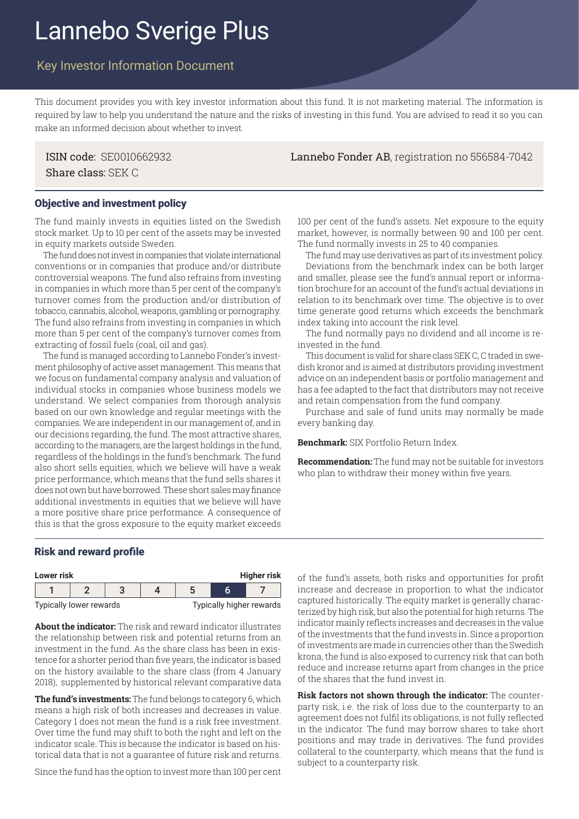# Lannebo Sverige Plus

## Key Investor Information Document

This document provides you with key investor information about this fund. It is not marketing material. The information is required by law to help you understand the nature and the risks of investing in this fund. You are advised to read it so you can make an informed decision about whether to invest.

Share class: SEK C

ISIN code: SE0010662932 Lannebo Fonder AB, registration no 556584-7042

#### Objective and investment policy

The fund mainly invests in equities listed on the Swedish stock market. Up to 10 per cent of the assets may be invested in equity markets outside Sweden.

The fund does not invest in companies that violate international conventions or in companies that produce and/or distribute controversial weapons. The fund also refrains from investing in companies in which more than 5 per cent of the company's turnover comes from the production and/or distribution of tobacco, cannabis, alcohol, weapons, gambling or pornography. The fund also refrains from investing in companies in which more than 5 per cent of the company's turnover comes from extracting of fossil fuels (coal, oil and gas).

The fund is managed according to Lannebo Fonder's investment philosophy of active asset management. This means that we focus on fundamental company analysis and valuation of individual stocks in companies whose business models we understand. We select companies from thorough analysis based on our own knowledge and regular meetings with the companies. We are independent in our management of, and in our decisions regarding, the fund. The most attractive shares, according to the managers, are the largest holdings in the fund, regardless of the holdings in the fund's benchmark. The fund also short sells equities, which we believe will have a weak price performance, which means that the fund sells shares it does not own but have borrowed. These short sales may finance additional investments in equities that we believe will have a more positive share price performance. A consequence of this is that the gross exposure to the equity market exceeds

100 per cent of the fund's assets. Net exposure to the equity market, however, is normally between 90 and 100 per cent. The fund normally invests in 25 to 40 companies.

The fund may use derivatives as part of its investment policy. Deviations from the benchmark index can be both larger and smaller, please see the fund's annual report or information brochure for an account of the fund's actual deviations in relation to its benchmark over time. The objective is to over time generate good returns which exceeds the benchmark index taking into account the risk level.

The fund normally pays no dividend and all income is reinvested in the fund.

This document is valid for share class SEK C, C traded in swedish kronor and is aimed at distributors providing investment advice on an independent basis or portfolio management and has a fee adapted to the fact that distributors may not receive and retain compensation from the fund company.

Purchase and sale of fund units may normally be made every banking day.

**Benchmark:** SIX Portfolio Return Index.

**Recommendation:** The fund may not be suitable for investors who plan to withdraw their money within five years.

#### Risk and reward profile

| <b>Higher risk</b><br>Lower risk |  |  |  |                          |  |  |
|----------------------------------|--|--|--|--------------------------|--|--|
|                                  |  |  |  |                          |  |  |
| Typically lower rewards          |  |  |  | Typically higher rewards |  |  |

**About the indicator:** The risk and reward indicator illustrates the relationship between risk and potential returns from an investment in the fund. As the share class has been in existence for a shorter period than five years, the indicator is based on the history available to the share class (from 4 January 2018), supplemented by historical relevant comparative data

**The fund's investments:** The fund belongs to category 6, which means a high risk of both increases and decreases in value. Category 1 does not mean the fund is a risk free investment. Over time the fund may shift to both the right and left on the indicator scale. This is because the indicator is based on historical data that is not a guarantee of future risk and returns.

Since the fund has the option to invest more than 100 per cent

of the fund's assets, both risks and opportunities for profit increase and decrease in proportion to what the indicator captured historically. The equity market is generally characterized by high risk, but also the potential for high returns. The indicator mainly reflects increases and decreases in the value of the investments that the fund invests in. Since a proportion of investments are made in currencies other than the Swedish krona, the fund is also exposed to currency risk that can both reduce and increase returns apart from changes in the price of the shares that the fund invest in.

**Risk factors not shown through the indicator:** The counterparty risk, i.e. the risk of loss due to the counterparty to an agreement does not fulfil its obligations, is not fully reflected in the indicator. The fund may borrow shares to take short positions and may trade in derivatives. The fund provides collateral to the counterparty, which means that the fund is subject to a counterparty risk.